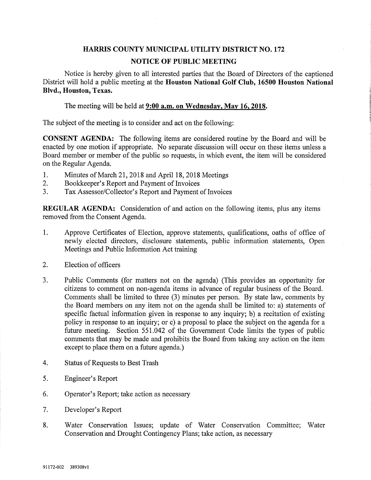## HARMS COUNTY MUNICIPAL UTILITY DISTRICT NO. 172 NOTICE OF PUBLIC MEETING

Notice is hereby given to all interested parties that the Board of Directors of the captioned District will hold a public meeting at the Houston National Golf Club, 16500 Houston National Blvd., Houston, Texas.

The meeting will be held at  $9:00$  a.m. on Wednesday, May 16, 2018.

The subject of the meeting is to consider and act on the following:

CONSENT AGENDA: The following items are considered routine by the Board and will be enacted by one motion if appropriate. No separate discussion will occur on these items unless a Board member or member of the public so requests, in which event, the item will be considered on the Regular Agenda.

- 1. Minutes of March 21, 2018 and April 18,2018 Meetings
- 2. Bookkeeper's Report and Payment of Invoices
- 3. Tax Assessor/Collector's Report and Payment of Invoices

REGULAR AGENDA; Consideration of and action on the following items, plus any items removed from the Consent Agenda.

- 1. Approve Certificates of Election, approve statements, qualifications, oaths of office of newly elected directors, disclosure statements, public information statements. Open Meetings and Public Information Act training
- 2. Election of officers
- 3. Public Comments (for matters not on the agenda) (This provides an opportunity for citizens to comment on non-agenda items in advance of regular business of the Board. Comments shall be limited to three (3) minutes per person. By state law, comments by the Board members on any item not on the agenda shall be limited to: a) statements of specific factual information given in response to any inquiry; b) a recitation of existing policy in response to an inquiry; or c) a proposal to place the subject on the agenda for a future meeting. Section 551.042 of the Government Code limits the types of public comments that may be made and prohibits the Board from taking any action on the item except to place them on a future agenda.)
- 4. Status of Requests to Best Trash
- 5. Engineer's Report
- 6. Operator's Report; take action as necessary
- 7. Developer's Report
- 8. Water Conservation Issues; update of Water Conservation Committee; Water Conservation and Drought Contingency Plans; take action, as necessary